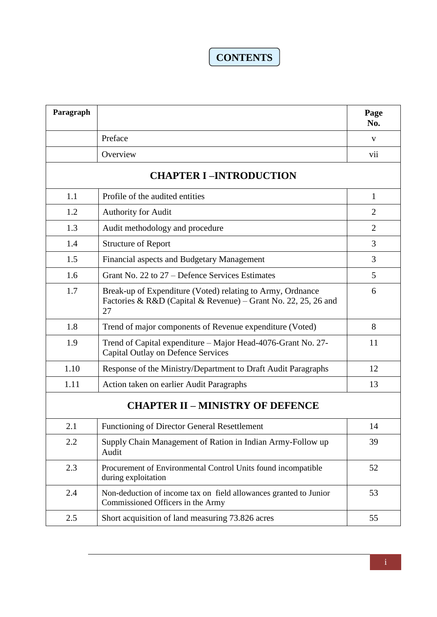## **CONTENTS**

| Paragraph                               |                                                                                                                                    | Page<br>No.    |  |  |
|-----------------------------------------|------------------------------------------------------------------------------------------------------------------------------------|----------------|--|--|
|                                         | Preface                                                                                                                            | V              |  |  |
|                                         | Overview                                                                                                                           | vii            |  |  |
| <b>CHAPTER I-INTRODUCTION</b>           |                                                                                                                                    |                |  |  |
| 1.1                                     | Profile of the audited entities                                                                                                    | 1              |  |  |
| 1.2                                     | <b>Authority for Audit</b>                                                                                                         | $\overline{2}$ |  |  |
| 1.3                                     | Audit methodology and procedure                                                                                                    | $\overline{2}$ |  |  |
| 1.4                                     | <b>Structure of Report</b>                                                                                                         | 3              |  |  |
| 1.5                                     | Financial aspects and Budgetary Management                                                                                         | 3              |  |  |
| 1.6                                     | Grant No. 22 to 27 – Defence Services Estimates                                                                                    | 5              |  |  |
| 1.7                                     | Break-up of Expenditure (Voted) relating to Army, Ordnance<br>Factories & R&D (Capital & Revenue) – Grant No. 22, 25, 26 and<br>27 | 6              |  |  |
| 1.8                                     | Trend of major components of Revenue expenditure (Voted)                                                                           | 8              |  |  |
| 1.9                                     | Trend of Capital expenditure – Major Head-4076-Grant No. 27-<br><b>Capital Outlay on Defence Services</b>                          | 11             |  |  |
| 1.10                                    | Response of the Ministry/Department to Draft Audit Paragraphs                                                                      | 12             |  |  |
| 1.11                                    | Action taken on earlier Audit Paragraphs                                                                                           | 13             |  |  |
| <b>CHAPTER II - MINISTRY OF DEFENCE</b> |                                                                                                                                    |                |  |  |
| 2.1                                     | <b>Functioning of Director General Resettlement</b>                                                                                | 14             |  |  |
| 2.2                                     | Supply Chain Management of Ration in Indian Army-Follow up<br>Audit                                                                | 39             |  |  |
| 2.3                                     | Procurement of Environmental Control Units found incompatible<br>during exploitation                                               | 52             |  |  |
| 2.4                                     | Non-deduction of income tax on field allowances granted to Junior<br>Commissioned Officers in the Army                             | 53             |  |  |
| 2.5                                     | Short acquisition of land measuring 73.826 acres                                                                                   | 55             |  |  |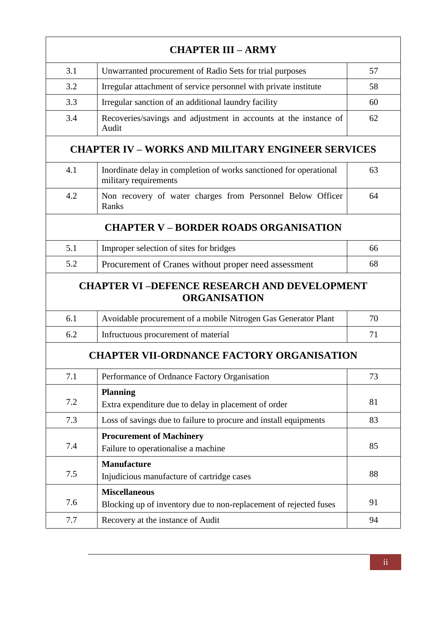| <b>CHAPTER III - ARMY</b>                    |                                                                                             |    |  |  |  |
|----------------------------------------------|---------------------------------------------------------------------------------------------|----|--|--|--|
| 3.1                                          | Unwarranted procurement of Radio Sets for trial purposes                                    | 57 |  |  |  |
| 3.2                                          | Irregular attachment of service personnel with private institute                            | 58 |  |  |  |
| 3.3                                          | Irregular sanction of an additional laundry facility                                        | 60 |  |  |  |
| 3.4                                          | Recoveries/savings and adjustment in accounts at the instance of<br>Audit                   | 62 |  |  |  |
|                                              | <b>CHAPTER IV - WORKS AND MILITARY ENGINEER SERVICES</b>                                    |    |  |  |  |
| 4.1                                          | Inordinate delay in completion of works sanctioned for operational<br>military requirements | 63 |  |  |  |
| 4.2                                          | Non recovery of water charges from Personnel Below Officer<br>Ranks                         | 64 |  |  |  |
| <b>CHAPTER V – BORDER ROADS ORGANISATION</b> |                                                                                             |    |  |  |  |
| 5.1                                          | Improper selection of sites for bridges                                                     | 66 |  |  |  |
| 5.2                                          | Procurement of Cranes without proper need assessment                                        | 68 |  |  |  |
|                                              | <b>CHAPTER VI-DEFENCE RESEARCH AND DEVELOPMENT</b><br><b>ORGANISATION</b>                   |    |  |  |  |
| 6.1                                          | Avoidable procurement of a mobile Nitrogen Gas Generator Plant                              | 70 |  |  |  |
| 6.2                                          | Infructuous procurement of material                                                         | 71 |  |  |  |
|                                              | <b>CHAPTER VII-ORDNANCE FACTORY ORGANISATION</b>                                            |    |  |  |  |
| 7.1                                          | Performance of Ordnance Factory Organisation                                                | 73 |  |  |  |
| 7.2                                          | <b>Planning</b><br>Extra expenditure due to delay in placement of order                     | 81 |  |  |  |
| 7.3                                          | Loss of savings due to failure to procure and install equipments                            | 83 |  |  |  |
| 7.4                                          | <b>Procurement of Machinery</b><br>Failure to operationalise a machine                      | 85 |  |  |  |
| 7.5                                          | <b>Manufacture</b><br>Injudicious manufacture of cartridge cases                            | 88 |  |  |  |
| 7.6                                          | <b>Miscellaneous</b><br>Blocking up of inventory due to non-replacement of rejected fuses   | 91 |  |  |  |
| 7.7                                          | Recovery at the instance of Audit                                                           | 94 |  |  |  |